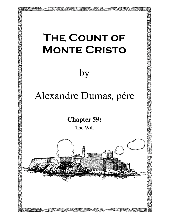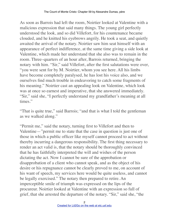As soon as Barrois had left the room, Noirtier looked at Valentine with a malicious expression that said many things. The young girl perfectly understood the look, and so did Villefort, for his countenance became clouded, and he knitted his eyebrows angrily. He took a seat, and quietly awaited the arrival of the notary. Noirtier saw him seat himself with an appearance of perfect indifference, at the same time giving a side look at Valentine, which made her understand that she also was to remain in the room. Three–quarters of an hour after, Barrois returned, bringing the notary with him. "Sir," said Villefort, after the first salutations were over, "you were sent for by M. Noirtier, whom you see here. All his limbs have become completely paralysed, he has lost his voice also, and we ourselves find much trouble in endeavoring to catch some fragments of his meaning." Noirtier cast an appealing look on Valentine, which look was at once so earnest and imperative, that she answered immediately. "Sir," said she, "I perfectly understand my grandfather's meaning at all times."

"That is quite true," said Barrois; "and that is what I told the gentleman as we walked along."

"Permit me," said the notary, turning first to Villefort and then to Valentine—"permit me to state that the case in question is just one of those in which a public officer like myself cannot proceed to act without thereby incurring a dangerous responsibility. The first thing necessary to render an act valid is, that the notary should be thoroughly convinced that he has faithfully interpreted the will and wishes of the person dictating the act. Now I cannot be sure of the approbation or disapprobation of a client who cannot speak, and as the object of his desire or his repugnance cannot be clearly proved to me, on account of his want of speech, my services here would be quite useless, and cannot be legally exercised." The notary then prepared to retire. An imperceptible smile of triumph was expressed on the lips of the procureur. Noirtier looked at Valentine with an expression so full of grief, that she arrested the departure of the notary. "Sir," said she, "the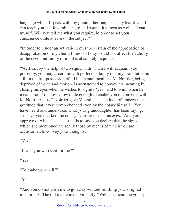language which I speak with my grandfather may be easily learnt, and I can teach you in a few minutes, to understand it almost as well as I can myself. Will you tell me what you require, in order to set your conscience quite at ease on the subject?"

"In order to render an act valid, I must be certain of the approbation or disapprobation of my client. Illness of body would not affect the validity of the deed, but sanity of mind is absolutely requisite."

"Well, sir, by the help of two signs, with which I will acquaint you presently, you may ascertain with perfect certainty that my grandfather is still in the full possession of all his mental faculties. M. Noirtier, being deprived of voice and motion, is accustomed to convey his meaning by closing his eyes when he wishes to signify 'yes,' and to wink when he means 'no.' You now know quite enough to enable you to converse with M. Noirtier;—try." Noirtier gave Valentine such a look of tenderness and gratitude that it was comprehended even by the notary himself. "You have heard and understood what your granddaughter has been saying, sir, have you?" asked the notary. Noirtier closed his eyes. "And you approve of what she said—that is to say, you declare that the signs which she mentioned are really those by means of which you are accustomed to convey your thoughts?"

"Yes."

"It was you who sent for me?"

"Yes."

"To make your will?"

"Yes."

"And you do not wish me to go away without fulfilling your original intentions?" The old man winked violently. "Well, sir," said the young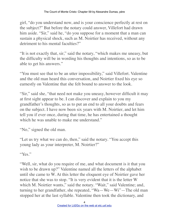girl, "do you understand now, and is your conscience perfectly at rest on the subject?" But before the notary could answer, Villefort had drawn him aside. "Sir," said he, "do you suppose for a moment that a man can sustain a physical shock, such as M. Noirtier has received, without any detriment to his mental faculties?"

"It is not exactly that, sir," said the notary, "which makes me uneasy, but the difficulty will be in wording his thoughts and intentions, so as to be able to get his answers."

"You must see that to be an utter impossibility," said Villefort. Valentine and the old man heard this conversation, and Noirtier fixed his eye so earnestly on Valentine that she felt bound to answer to the look.

"Sir," said she, "that need not make you uneasy, however difficult it may at first sight appear to be. I can discover and explain to you my grandfather's thoughts, so as to put an end to all your doubts and fears on the subject. I have now been six years with M. Noirtier, and let him tell you if ever once, during that time, he has entertained a thought which he was unable to make me understand."

"No," signed the old man.

"Let us try what we can do, then," said the notary. "You accept this young lady as your interpreter, M. Noirtier?"

"Yes."

"Well, sir, what do you require of me, and what document is it that you wish to be drawn up?" Valentine named all the letters of the alphabet until she came to W. At this letter the eloquent eye of Noirtier gave her notice that she was to stop. "It is very evident that it is the letter W which M. Noirtier wants," said the notary. "Wait," said Valentine; and, turning to her grandfather, she repeated, "Wa—We—Wi"—The old man stopped her at the last syllable. Valentine then took the dictionary, and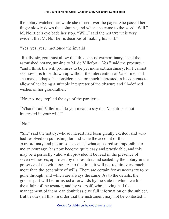the notary watched her while she turned over the pages. She passed her finger slowly down the columns, and when she came to the word "Will," M. Noirtier's eye bade her stop. "Will," said the notary; "it is very evident that M. Noirtier is desirous of making his will."

"Yes, yes, yes," motioned the invalid.

"Really, sir, you must allow that this is most extraordinary," said the astonished notary, turning to M. de Villefort. "Yes," said the procureur, "and I think the will promises to be yet more extraordinary, for I cannot see how it is to be drawn up without the intervention of Valentine, and she may, perhaps, be considered as too much interested in its contents to allow of her being a suitable interpreter of the obscure and ill–defined wishes of her grandfather."

"No, no, no," replied the eye of the paralytic.

"What?" said Villefort, "do you mean to say that Valentine is not interested in your will?"

"No."

"Sir," said the notary, whose interest had been greatly excited, and who had resolved on publishing far and wide the account of this extraordinary and picturesque scene, "what appeared so impossible to me an hour ago, has now become quite easy and practicable, and this may be a perfectly valid will, provided it be read in the presence of seven witnesses, approved by the testator, and sealed by the notary in the presence of the witnesses. As to the time, it will not require very much more than the generality of wills. There are certain forms necessary to be gone through, and which are always the same. As to the details, the greater part will be furnished afterwards by the state in which we find the affairs of the testator, and by yourself, who, having had the management of them, can doubtless give full information on the subject. But besides all this, in order that the instrument may not be contested, I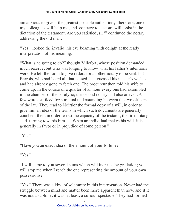am anxious to give it the greatest possible authenticity, therefore, one of my colleagues will help me, and, contrary to custom, will assist in the dictation of the testament. Are you satisfied, sir?" continued the notary, addressing the old man.

"Yes," looked the invalid, his eye beaming with delight at the ready interpretation of his meaning.

"What is he going to do?" thought Villefort, whose position demanded much reserve, but who was longing to know what his father's intentions were. He left the room to give orders for another notary to be sent, but Barrois, who had heard all that passed, had guessed his master's wishes, and had already gone to fetch one. The procureur then told his wife to come up. In the course of a quarter of an hour every one had assembled in the chamber of the paralytic; the second notary had also arrived. A few words sufficed for a mutual understanding between the two officers of the law. They read to Noirtier the formal copy of a will, in order to give him an idea of the terms in which such documents are generally couched; then, in order to test the capacity of the testator, the first notary said, turning towards him,—"When an individual makes his will, it is generally in favor or in prejudice of some person."

"Yes."

"Have you an exact idea of the amount of your fortune?"

"Yes."

"I will name to you several sums which will increase by gradation; you will stop me when I reach the one representing the amount of your own possessions?"

"Yes." There was a kind of solemnity in this interrogation. Never had the struggle between mind and matter been more apparent than now, and if it was not a sublime, it was, at least, a curious spectacle. They had formed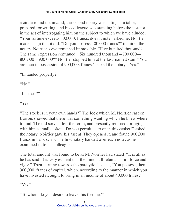a circle round the invalid; the second notary was sitting at a table, prepared for writing, and his colleague was standing before the testator in the act of interrogating him on the subject to which we have alluded. "Your fortune exceeds 300,000. francs, does it not?" asked he. Noirtier made a sign that it did. "Do you possess 400,000 francs?" inquired the notary. Noirtier's eye remained immovable. "Five hundred thousand?" The same expression continued. "Six hundred thousand—700,000— 800,000—900,000?" Noirtier stopped him at the last–named sum. "You are then in possession of 900,000. francs?" asked the notary. "Yes."

"In landed property?"

"No."

"In stock?"

"Yes."

"The stock is in your own hands?" The look which M. Noirtier cast on Barrois showed that there was something wanting which he knew where to find. The old servant left the room, and presently returned, bringing with him a small casket. "Do you permit us to open this casket?" asked the notary. Noirtier gave his assent. They opened it, and found 900,000. francs in bank scrip. The first notary handed over each note, as he examined it, to his colleague.

The total amount was found to be as M. Noirtier had stated. "It is all as he has said; it is very evident that the mind still retains its full force and vigor." Then, turning towards the paralytic, he said, "You possess, then, 900,000. francs of capital, which, according to the manner in which you have invested it, ought to bring in an income of about 40,000 livres?"

"Yes."

"To whom do you desire to leave this fortune?"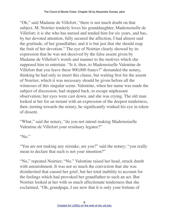"Oh," said Madame de Villefort, "there is not much doubt on that subject. M. Noirtier tenderly loves his granddaughter, Mademoiselle de Villefort; it is she who has nursed and tended him for six years, and has, by her devoted attention, fully secured the affection, I had almost said the gratitude, of her grandfather, and it is but just that she should reap the fruit of her devotion." The eye of Noirtier clearly showed by its expression that he was not deceived by the false assent given by Madame de Villefort's words and manner to the motives which she supposed him to entertain. "Is it, then, to Mademoiselle Valentine de Villefort that you leave these 900,000 francs?" demanded the notary, thinking he had only to insert this clause, but waiting first for the assent of Noirtier, which it was necessary should be given before all the witnesses of this singular scene. Valentine, when her name was made the subject of discussion, had stepped back, to escape unpleasant observation; her eyes were cast down, and she was crying. The old man looked at her for an instant with an expression of the deepest tenderness, then, turning towards the notary, he significantly winked his eye in token of dissent.

"What," said the notary, "do you not intend making Mademoiselle Valentine de Villefort your residuary legatee?"

"No."

"You are not making any mistake, are you?" said the notary; "you really mean to declare that such is not your intention?"

"No," repeated Noirtier; "No." Valentine raised her head, struck dumb with astonishment. It was not so much the conviction that she was disinherited that caused her grief, but her total inability to account for the feelings which had provoked her grandfather to such an act. But Noirtier looked at her with so much affectionate tenderness that she exclaimed, "Oh, grandpapa, I see now that it is only your fortune of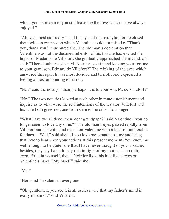which you deprive me; you still leave me the love which I have always enjoyed."

"Ah, yes, most assuredly," said the eyes of the paralytic, for he closed them with an expression which Valentine could not mistake. "Thank you, thank you," murmured she. The old man's declaration that Valentine was not the destined inheritor of his fortune had excited the hopes of Madame de Villefort; she gradually approached the invalid, and said: "Then, doubtless, dear M. Noirtier, you intend leaving your fortune to your grandson, Edward de Villefort?" The winking of the eyes which answered this speech was most decided and terrible, and expressed a feeling almost amounting to hatred.

"No?" said the notary; "then, perhaps, it is to your son, M. de Villefort?"

"No." The two notaries looked at each other in mute astonishment and inquiry as to what were the real intentions of the testator. Villefort and his wife both grew red, one from shame, the other from anger.

"What have we all done, then, dear grandpapa?" said Valentine; "you no longer seem to love any of us?" The old man's eyes passed rapidly from Villefort and his wife, and rested on Valentine with a look of unutterable fondness. "Well," said she; "if you love me, grandpapa, try and bring that love to bear upon your actions at this present moment. You know me well enough to be quite sure that I have never thought of your fortune; besides, they say I am already rich in right of my mother—too rich, even. Explain yourself, then." Noirtier fixed his intelligent eyes on Valentine's hand. "My hand?" said she.

"Yes."

"Her hand!" exclaimed every one.

"Oh, gentlemen, you see it is all useless, and that my father's mind is really impaired," said Villefort.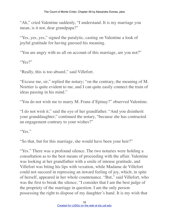"Ah," cried Valentine suddenly, "I understand. It is my marriage you mean, is it not, dear grandpapa?"

"Yes, yes, yes," signed the paralytic, casting on Valentine a look of joyful gratitude for having guessed his meaning.

"You are angry with us all on account of this marriage, are you not?"

"Yes?"

"Really, this is too absurd," said Villefort.

"Excuse me, sir," replied the notary; "on the contrary, the meaning of M. Noirtier is quite evident to me, and I can quite easily connect the train of ideas passing in his mind."

"You do not wish me to marry M. Franz d'Epinay?" observed Valentine.

"I do not wish it," said the eye of her grandfather. "And you disinherit your granddaughter," continued the notary, "because she has contracted an engagement contrary to your wishes?"

"Yes."

"So that, but for this marriage, she would have been your heir?"

"Yes." There was a profound silence. The two notaries were holding a consultation as to the best means of proceeding with the affair. Valentine was looking at her grandfather with a smile of intense gratitude, and Villefort was biting his lips with vexation, while Madame de Villefort could not succeed in repressing an inward feeling of joy, which, in spite of herself, appeared in her whole countenance. "But," said Villefort, who was the first to break the silence, "I consider that I am the best judge of the propriety of the marriage in question. I am the only person possessing the right to dispose of my daughter's hand. It is my wish that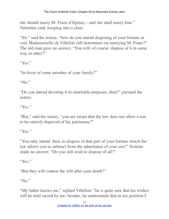she should marry M. Franz d'Epinay—and she shall marry him." Valentine sank weeping into a chair.

"Sir," said the notary, "how do you intend disposing of your fortune in case Mademoiselle de Villefort still determines on marrying M. Franz?" The old man gave no answer. "You will, of course, dispose of it in some way or other?"

"Yes."

"In favor of some member of your family?"

"No."

"Do you intend devoting it to charitable purposes, then?" pursued the notary.

"Yes."

"But," said the notary, "you are aware that the law does not allow a son to be entirely deprived of his patrimony?"

"Yes"

"You only intend, then, to dispose of that part of your fortune which the law allows you to subtract from the inheritance of your son?" Noirtier made no answer. "Do you still wish to dispose of all?"

"Yes."

"But they will contest the will after your death?"

"No."

"My father knows me," replied Villefort; "he is quite sure that his wishes will be held sacred by me; besides, he understands that in my position I